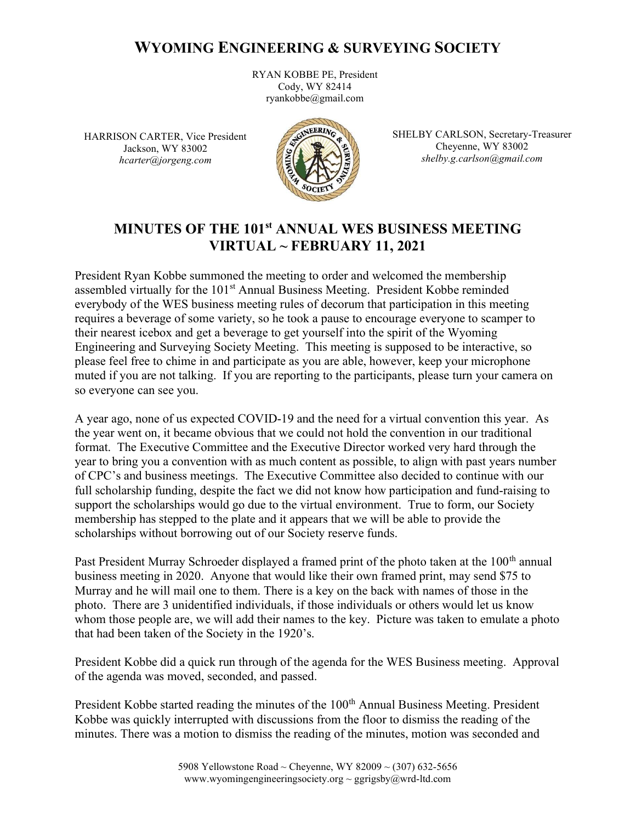# WYOMING ENGINEERING & SURVEYING SOCIETY

RYAN KOBBE PE, President Cody, WY 82414 ryankobbe@gmail.com

HARRISON CARTER, Vice President Jackson, WY 83002 hcarter@jorgeng.com



SHELBY CARLSON, Secretary-Treasurer Cheyenne, WY 83002 shelby.g.carlson@gmail.com

## MINUTES OF THE 101st ANNUAL WES BUSINESS MEETING VIRTUAL ~ FEBRUARY 11, 2021

President Ryan Kobbe summoned the meeting to order and welcomed the membership assembled virtually for the 101<sup>st</sup> Annual Business Meeting. President Kobbe reminded everybody of the WES business meeting rules of decorum that participation in this meeting requires a beverage of some variety, so he took a pause to encourage everyone to scamper to their nearest icebox and get a beverage to get yourself into the spirit of the Wyoming Engineering and Surveying Society Meeting. This meeting is supposed to be interactive, so please feel free to chime in and participate as you are able, however, keep your microphone muted if you are not talking. If you are reporting to the participants, please turn your camera on so everyone can see you.

A year ago, none of us expected COVID-19 and the need for a virtual convention this year. As the year went on, it became obvious that we could not hold the convention in our traditional format. The Executive Committee and the Executive Director worked very hard through the year to bring you a convention with as much content as possible, to align with past years number of CPC's and business meetings. The Executive Committee also decided to continue with our full scholarship funding, despite the fact we did not know how participation and fund-raising to support the scholarships would go due to the virtual environment. True to form, our Society membership has stepped to the plate and it appears that we will be able to provide the scholarships without borrowing out of our Society reserve funds.

Past President Murray Schroeder displayed a framed print of the photo taken at the 100<sup>th</sup> annual business meeting in 2020. Anyone that would like their own framed print, may send \$75 to Murray and he will mail one to them. There is a key on the back with names of those in the photo. There are 3 unidentified individuals, if those individuals or others would let us know whom those people are, we will add their names to the key. Picture was taken to emulate a photo that had been taken of the Society in the 1920's.

President Kobbe did a quick run through of the agenda for the WES Business meeting. Approval of the agenda was moved, seconded, and passed.

President Kobbe started reading the minutes of the 100<sup>th</sup> Annual Business Meeting. President Kobbe was quickly interrupted with discussions from the floor to dismiss the reading of the minutes. There was a motion to dismiss the reading of the minutes, motion was seconded and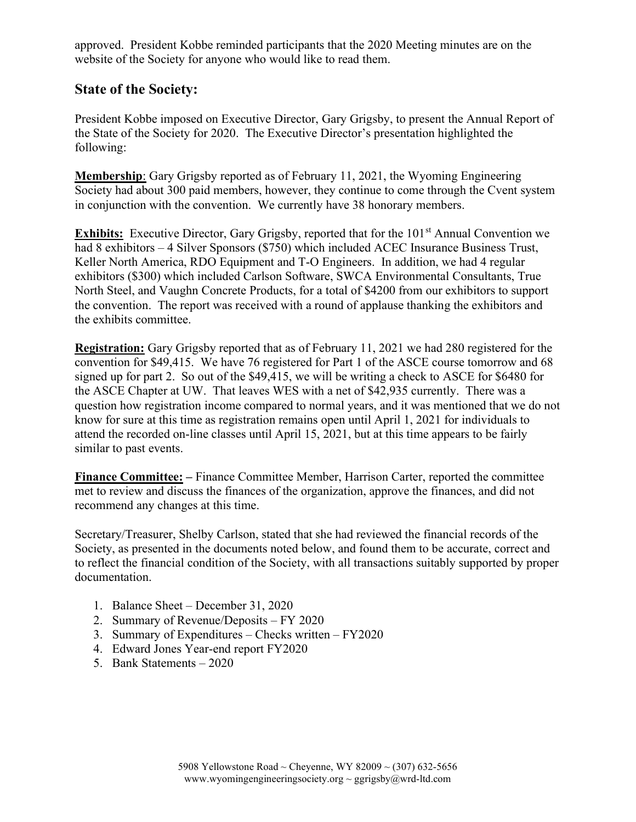approved. President Kobbe reminded participants that the 2020 Meeting minutes are on the website of the Society for anyone who would like to read them.

### State of the Society:

President Kobbe imposed on Executive Director, Gary Grigsby, to present the Annual Report of the State of the Society for 2020. The Executive Director's presentation highlighted the following:

Membership: Gary Grigsby reported as of February 11, 2021, the Wyoming Engineering Society had about 300 paid members, however, they continue to come through the Cvent system in conjunction with the convention. We currently have 38 honorary members.

**Exhibits:** Executive Director, Gary Grigsby, reported that for the 101<sup>st</sup> Annual Convention we had 8 exhibitors – 4 Silver Sponsors (\$750) which included ACEC Insurance Business Trust, Keller North America, RDO Equipment and T-O Engineers. In addition, we had 4 regular exhibitors (\$300) which included Carlson Software, SWCA Environmental Consultants, True North Steel, and Vaughn Concrete Products, for a total of \$4200 from our exhibitors to support the convention. The report was received with a round of applause thanking the exhibitors and the exhibits committee.

Registration: Gary Grigsby reported that as of February 11, 2021 we had 280 registered for the convention for \$49,415. We have 76 registered for Part 1 of the ASCE course tomorrow and 68 signed up for part 2. So out of the \$49,415, we will be writing a check to ASCE for \$6480 for the ASCE Chapter at UW. That leaves WES with a net of \$42,935 currently. There was a question how registration income compared to normal years, and it was mentioned that we do not know for sure at this time as registration remains open until April 1, 2021 for individuals to attend the recorded on-line classes until April 15, 2021, but at this time appears to be fairly similar to past events.

Finance Committee: – Finance Committee Member, Harrison Carter, reported the committee met to review and discuss the finances of the organization, approve the finances, and did not recommend any changes at this time.

Secretary/Treasurer, Shelby Carlson, stated that she had reviewed the financial records of the Society, as presented in the documents noted below, and found them to be accurate, correct and to reflect the financial condition of the Society, with all transactions suitably supported by proper documentation.

- 1. Balance Sheet December 31, 2020
- 2. Summary of Revenue/Deposits FY 2020
- 3. Summary of Expenditures Checks written FY2020
- 4. Edward Jones Year-end report FY2020
- 5. Bank Statements 2020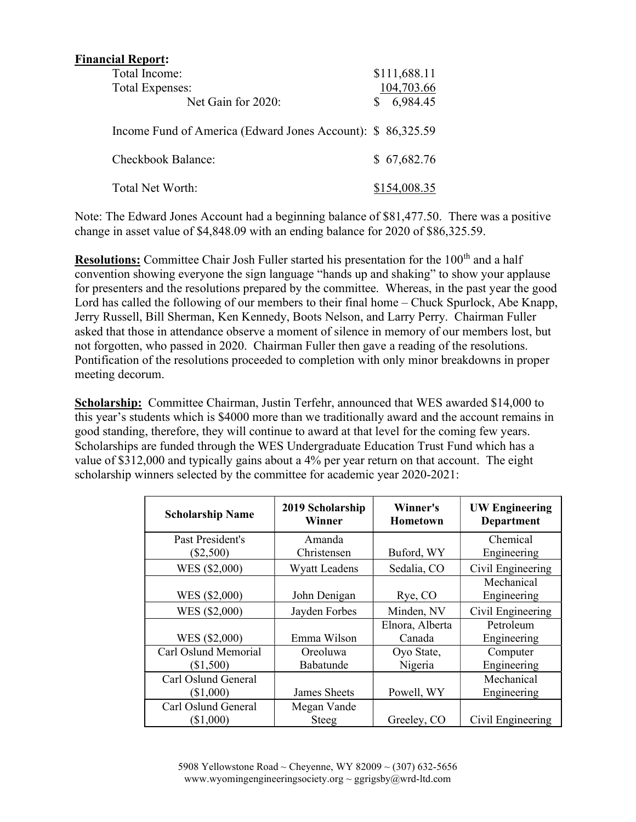#### Financial Report:

| Total Income:                                              | \$111,688.11 |
|------------------------------------------------------------|--------------|
| <b>Total Expenses:</b>                                     | 104,703.66   |
| Net Gain for 2020:                                         | 6,984.45     |
| Income Fund of America (Edward Jones Account): \$86,325.59 |              |
| Checkbook Balance:                                         | \$67,682.76  |
| Total Net Worth:                                           | \$154,008.35 |

Note: The Edward Jones Account had a beginning balance of \$81,477.50. There was a positive change in asset value of \$4,848.09 with an ending balance for 2020 of \$86,325.59.

Resolutions: Committee Chair Josh Fuller started his presentation for the 100<sup>th</sup> and a half convention showing everyone the sign language "hands up and shaking" to show your applause for presenters and the resolutions prepared by the committee. Whereas, in the past year the good Lord has called the following of our members to their final home – Chuck Spurlock, Abe Knapp, Jerry Russell, Bill Sherman, Ken Kennedy, Boots Nelson, and Larry Perry. Chairman Fuller asked that those in attendance observe a moment of silence in memory of our members lost, but not forgotten, who passed in 2020. Chairman Fuller then gave a reading of the resolutions. Pontification of the resolutions proceeded to completion with only minor breakdowns in proper meeting decorum.

Scholarship: Committee Chairman, Justin Terfehr, announced that WES awarded \$14,000 to this year's students which is \$4000 more than we traditionally award and the account remains in good standing, therefore, they will continue to award at that level for the coming few years. Scholarships are funded through the WES Undergraduate Education Trust Fund which has a value of \$312,000 and typically gains about a 4% per year return on that account. The eight scholarship winners selected by the committee for academic year 2020-2021:

| <b>Scholarship Name</b> | 2019 Scholarship<br>Winner | Winner's<br><b>Hometown</b> | <b>UW Engineering</b><br><b>Department</b> |
|-------------------------|----------------------------|-----------------------------|--------------------------------------------|
| Past President's        | Amanda                     |                             | Chemical                                   |
| $(\$2,500)$             | Christensen                | Buford, WY                  | Engineering                                |
| WES (\$2,000)           | <b>Wyatt Leadens</b>       | Sedalia, CO                 | Civil Engineering                          |
|                         |                            |                             | Mechanical                                 |
| WES (\$2,000)           | John Denigan               | Rye, CO                     | Engineering                                |
| WES (\$2,000)           | Jayden Forbes              | Minden, NV                  | Civil Engineering                          |
|                         |                            | Elnora, Alberta             | Petroleum                                  |
| WES (\$2,000)           | Emma Wilson                | Canada                      | Engineering                                |
| Carl Oslund Memorial    | Oreoluwa                   | Oyo State,                  | Computer                                   |
| (\$1,500)               | Babatunde                  | Nigeria                     | Engineering                                |
| Carl Oslund General     |                            |                             | Mechanical                                 |
| (\$1,000)               | James Sheets               | Powell, WY                  | Engineering                                |
| Carl Oslund General     | Megan Vande                |                             |                                            |
| (\$1,000)               | Steeg                      | Greeley, CO                 | Civil Engineering                          |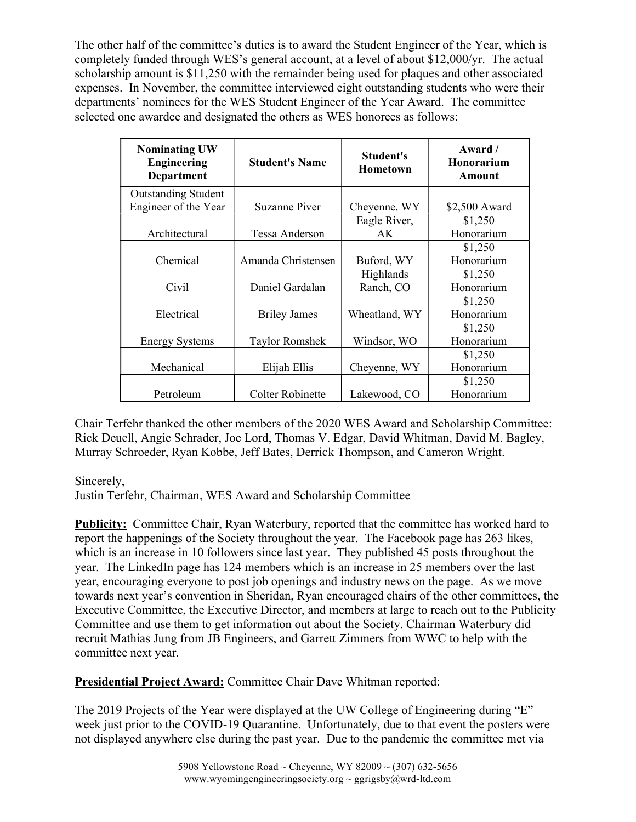The other half of the committee's duties is to award the Student Engineer of the Year, which is completely funded through WES's general account, at a level of about \$12,000/yr. The actual scholarship amount is \$11,250 with the remainder being used for plaques and other associated expenses. In November, the committee interviewed eight outstanding students who were their departments' nominees for the WES Student Engineer of the Year Award. The committee selected one awardee and designated the others as WES honorees as follows:

| <b>Nominating UW</b><br><b>Engineering</b><br><b>Department</b> | <b>Student's Name</b> | Student's<br><b>Hometown</b> | Award /<br>Honorarium<br>Amount |
|-----------------------------------------------------------------|-----------------------|------------------------------|---------------------------------|
| <b>Outstanding Student</b>                                      |                       |                              |                                 |
| Engineer of the Year                                            | Suzanne Piver         | Cheyenne, WY                 | \$2,500 Award                   |
|                                                                 |                       | Eagle River,                 | \$1,250                         |
| Architectural                                                   | Tessa Anderson        | AK                           | Honorarium                      |
|                                                                 |                       |                              | \$1,250                         |
| Chemical                                                        | Amanda Christensen    | Buford, WY                   | Honorarium                      |
|                                                                 |                       | Highlands                    | \$1,250                         |
| Civil                                                           | Daniel Gardalan       | Ranch, CO                    | Honorarium                      |
|                                                                 |                       |                              | \$1,250                         |
| Electrical                                                      | <b>Briley James</b>   | Wheatland, WY                | Honorarium                      |
|                                                                 |                       |                              | \$1,250                         |
| <b>Energy Systems</b>                                           | Taylor Romshek        | Windsor, WO                  | Honorarium                      |
|                                                                 |                       |                              | \$1,250                         |
| Mechanical                                                      | Elijah Ellis          | Cheyenne, WY                 | Honorarium                      |
|                                                                 |                       |                              | \$1,250                         |
| Petroleum                                                       | Colter Robinette      | Lakewood, CO                 | Honorarium                      |

Chair Terfehr thanked the other members of the 2020 WES Award and Scholarship Committee: Rick Deuell, Angie Schrader, Joe Lord, Thomas V. Edgar, David Whitman, David M. Bagley, Murray Schroeder, Ryan Kobbe, Jeff Bates, Derrick Thompson, and Cameron Wright.

#### Sincerely,

Justin Terfehr, Chairman, WES Award and Scholarship Committee

Publicity: Committee Chair, Ryan Waterbury, reported that the committee has worked hard to report the happenings of the Society throughout the year. The Facebook page has 263 likes, which is an increase in 10 followers since last year. They published 45 posts throughout the year. The LinkedIn page has 124 members which is an increase in 25 members over the last year, encouraging everyone to post job openings and industry news on the page. As we move towards next year's convention in Sheridan, Ryan encouraged chairs of the other committees, the Executive Committee, the Executive Director, and members at large to reach out to the Publicity Committee and use them to get information out about the Society. Chairman Waterbury did recruit Mathias Jung from JB Engineers, and Garrett Zimmers from WWC to help with the committee next year.

Presidential Project Award: Committee Chair Dave Whitman reported:

The 2019 Projects of the Year were displayed at the UW College of Engineering during "E" week just prior to the COVID-19 Quarantine. Unfortunately, due to that event the posters were not displayed anywhere else during the past year. Due to the pandemic the committee met via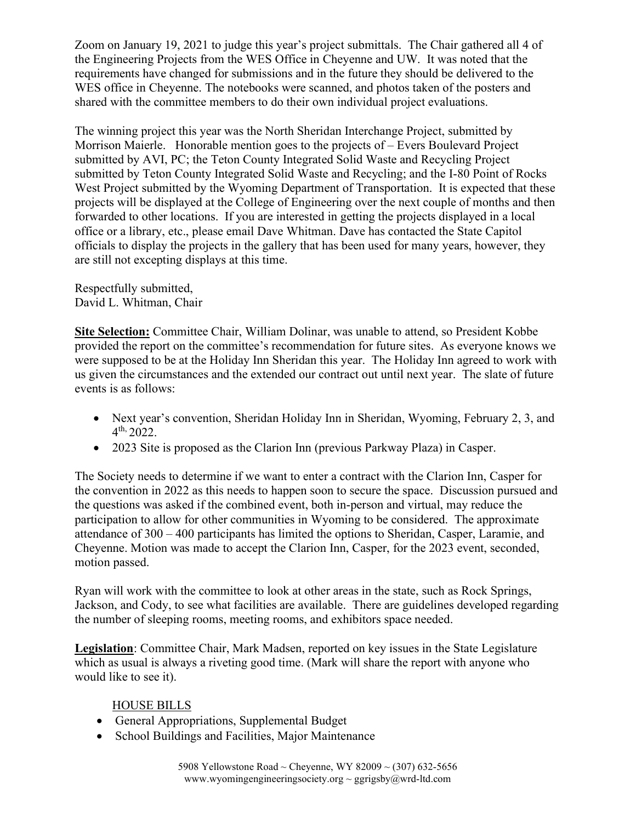Zoom on January 19, 2021 to judge this year's project submittals. The Chair gathered all 4 of the Engineering Projects from the WES Office in Cheyenne and UW. It was noted that the requirements have changed for submissions and in the future they should be delivered to the WES office in Cheyenne. The notebooks were scanned, and photos taken of the posters and shared with the committee members to do their own individual project evaluations.

The winning project this year was the North Sheridan Interchange Project, submitted by Morrison Maierle. Honorable mention goes to the projects of – Evers Boulevard Project submitted by AVI, PC; the Teton County Integrated Solid Waste and Recycling Project submitted by Teton County Integrated Solid Waste and Recycling; and the I-80 Point of Rocks West Project submitted by the Wyoming Department of Transportation. It is expected that these projects will be displayed at the College of Engineering over the next couple of months and then forwarded to other locations. If you are interested in getting the projects displayed in a local office or a library, etc., please email Dave Whitman. Dave has contacted the State Capitol officials to display the projects in the gallery that has been used for many years, however, they are still not excepting displays at this time.

Respectfully submitted, David L. Whitman, Chair

Site Selection: Committee Chair, William Dolinar, was unable to attend, so President Kobbe provided the report on the committee's recommendation for future sites. As everyone knows we were supposed to be at the Holiday Inn Sheridan this year. The Holiday Inn agreed to work with us given the circumstances and the extended our contract out until next year. The slate of future events is as follows:

- Next year's convention, Sheridan Holiday Inn in Sheridan, Wyoming, February 2, 3, and  $4^{\text{th}}$ , 2022.
- 2023 Site is proposed as the Clarion Inn (previous Parkway Plaza) in Casper.

The Society needs to determine if we want to enter a contract with the Clarion Inn, Casper for the convention in 2022 as this needs to happen soon to secure the space. Discussion pursued and the questions was asked if the combined event, both in-person and virtual, may reduce the participation to allow for other communities in Wyoming to be considered. The approximate attendance of 300 – 400 participants has limited the options to Sheridan, Casper, Laramie, and Cheyenne. Motion was made to accept the Clarion Inn, Casper, for the 2023 event, seconded, motion passed.

Ryan will work with the committee to look at other areas in the state, such as Rock Springs, Jackson, and Cody, to see what facilities are available. There are guidelines developed regarding the number of sleeping rooms, meeting rooms, and exhibitors space needed.

Legislation: Committee Chair, Mark Madsen, reported on key issues in the State Legislature which as usual is always a riveting good time. (Mark will share the report with anyone who would like to see it).

#### HOUSE BILLS

- General Appropriations, Supplemental Budget
- School Buildings and Facilities, Major Maintenance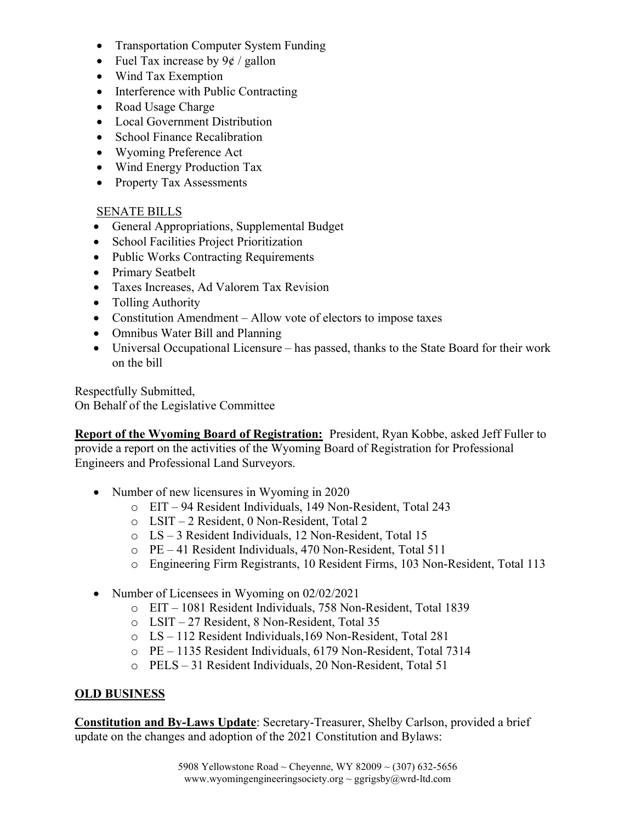- Transportation Computer System Funding
- Fuel Tax increase by  $9¢$  / gallon
- Wind Tax Exemption
- Interference with Public Contracting
- Road Usage Charge
- Local Government Distribution
- School Finance Recalibration
- Wyoming Preference Act
- Wind Energy Production Tax
- Property Tax Assessments

#### SENATE BILLS

- General Appropriations, Supplemental Budget
- School Facilities Project Prioritization
- Public Works Contracting Requirements
- Primary Seatbelt
- Taxes Increases, Ad Valorem Tax Revision
- Tolling Authority
- Constitution Amendment Allow vote of electors to impose taxes
- Omnibus Water Bill and Planning
- Universal Occupational Licensure has passed, thanks to the State Board for their work on the bill

Respectfully Submitted, On Behalf of the Legislative Committee

Report of the Wyoming Board of Registration: President, Ryan Kobbe, asked Jeff Fuller to provide a report on the activities of the Wyoming Board of Registration for Professional Engineers and Professional Land Surveyors.

- Number of new licensures in Wyoming in 2020
	- o EIT 94 Resident Individuals, 149 Non-Resident, Total 243
	- o LSIT 2 Resident, 0 Non-Resident, Total 2
	- o LS 3 Resident Individuals, 12 Non-Resident, Total 15
	- o PE 41 Resident Individuals, 470 Non-Resident, Total 511
	- o Engineering Firm Registrants, 10 Resident Firms, 103 Non-Resident, Total 113
- Number of Licensees in Wyoming on 02/02/2021
	- o EIT 1081 Resident Individuals, 758 Non-Resident, Total 1839
	- o LSIT 27 Resident, 8 Non-Resident, Total 35
	- o LS 112 Resident Individuals,169 Non-Resident, Total 281
	- o PE 1135 Resident Individuals, 6179 Non-Resident, Total 7314
	- o PELS 31 Resident Individuals, 20 Non-Resident, Total 51

#### OLD BUSINESS

Constitution and By-Laws Update: Secretary-Treasurer, Shelby Carlson, provided a brief update on the changes and adoption of the 2021 Constitution and Bylaws: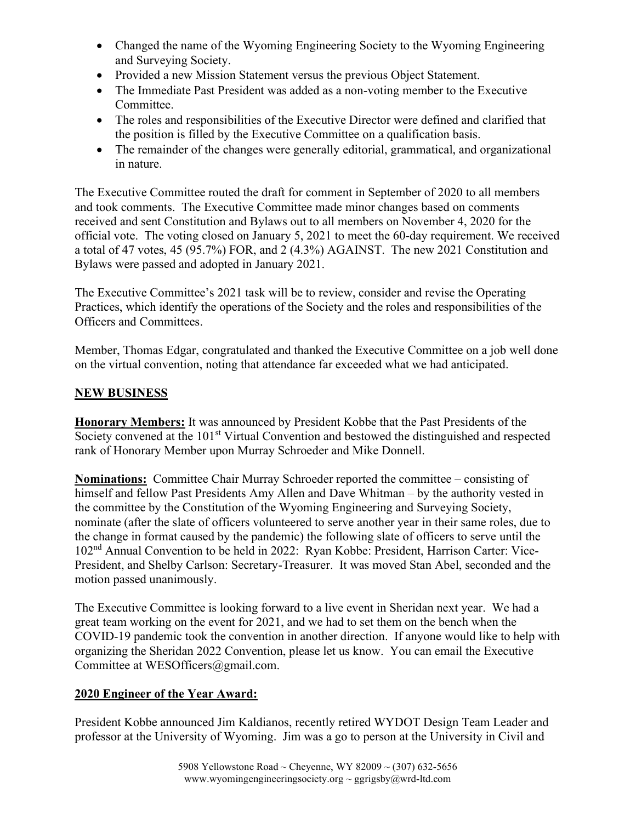- Changed the name of the Wyoming Engineering Society to the Wyoming Engineering and Surveying Society.
- Provided a new Mission Statement versus the previous Object Statement.
- The Immediate Past President was added as a non-voting member to the Executive Committee.
- The roles and responsibilities of the Executive Director were defined and clarified that the position is filled by the Executive Committee on a qualification basis.
- The remainder of the changes were generally editorial, grammatical, and organizational in nature.

The Executive Committee routed the draft for comment in September of 2020 to all members and took comments. The Executive Committee made minor changes based on comments received and sent Constitution and Bylaws out to all members on November 4, 2020 for the official vote. The voting closed on January 5, 2021 to meet the 60-day requirement. We received a total of 47 votes, 45 (95.7%) FOR, and 2 (4.3%) AGAINST. The new 2021 Constitution and Bylaws were passed and adopted in January 2021.

The Executive Committee's 2021 task will be to review, consider and revise the Operating Practices, which identify the operations of the Society and the roles and responsibilities of the Officers and Committees.

Member, Thomas Edgar, congratulated and thanked the Executive Committee on a job well done on the virtual convention, noting that attendance far exceeded what we had anticipated.

#### NEW BUSINESS

Honorary Members: It was announced by President Kobbe that the Past Presidents of the Society convened at the 101<sup>st</sup> Virtual Convention and bestowed the distinguished and respected rank of Honorary Member upon Murray Schroeder and Mike Donnell.

Nominations: Committee Chair Murray Schroeder reported the committee – consisting of himself and fellow Past Presidents Amy Allen and Dave Whitman – by the authority vested in the committee by the Constitution of the Wyoming Engineering and Surveying Society, nominate (after the slate of officers volunteered to serve another year in their same roles, due to the change in format caused by the pandemic) the following slate of officers to serve until the 102nd Annual Convention to be held in 2022: Ryan Kobbe: President, Harrison Carter: Vice-President, and Shelby Carlson: Secretary-Treasurer. It was moved Stan Abel, seconded and the motion passed unanimously.

The Executive Committee is looking forward to a live event in Sheridan next year. We had a great team working on the event for 2021, and we had to set them on the bench when the COVID-19 pandemic took the convention in another direction. If anyone would like to help with organizing the Sheridan 2022 Convention, please let us know. You can email the Executive Committee at WESOfficers@gmail.com.

#### 2020 Engineer of the Year Award:

President Kobbe announced Jim Kaldianos, recently retired WYDOT Design Team Leader and professor at the University of Wyoming. Jim was a go to person at the University in Civil and